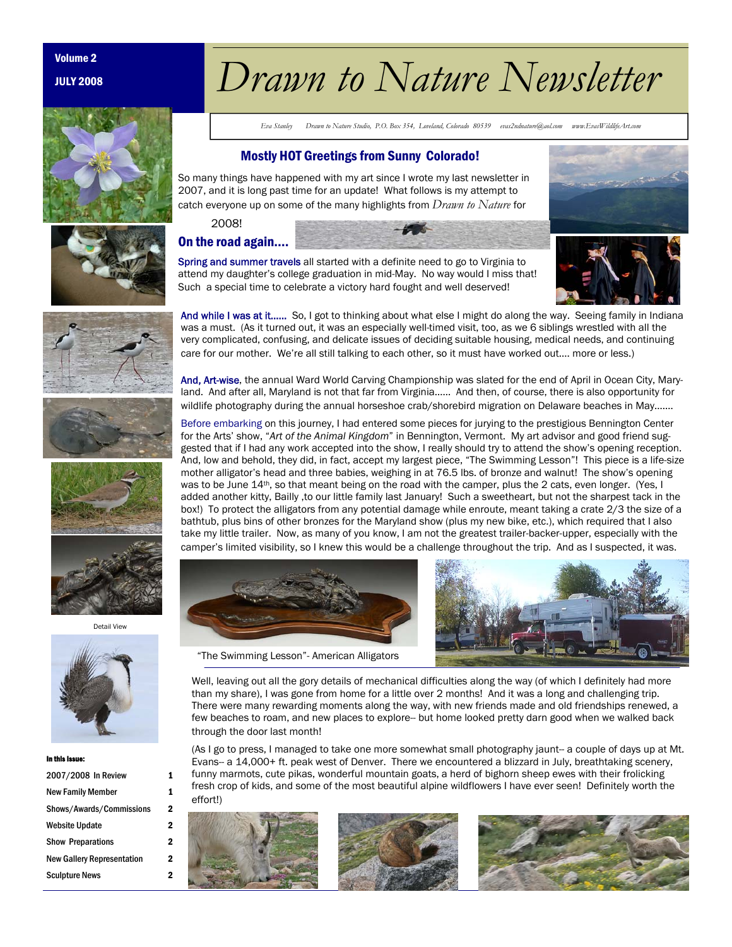JULY 2008



# volume 2<br>Drawn to Nature Newsletter

*Eva Stanley Drawn to Nature Studio, P.O. Box 354, Loveland, Colorado 80539 evas2ndnature@aol.com www.EvasWildlifeArt.com* 

## Mostly HOT Greetings from Sunny Colorado!

So many things have happened with my art since I wrote my last newsletter in 2007, and it is long past time for an update! What follows is my attempt to catch everyone up on some of the many highlights from *Drawn to Nature* for

2008!

# On the road again….



Spring and summer travels all started with a definite need to go to Virginia to attend my daughter's college graduation in mid-May. No way would I miss that! Such a special time to celebrate a victory hard fought and well deserved!



And, Art-wise, the annual Ward World Carving Championship was slated for the end of April in Ocean City, Maryland. And after all, Maryland is not that far from Virginia…… And then, of course, there is also opportunity for wildlife photography during the annual horseshoe crab/shorebird migration on Delaware beaches in May….…

Before embarking on this journey, I had entered some pieces for jurying to the prestigious Bennington Center for the Arts' show, "*Art of the Animal Kingdom*" in Bennington, Vermont. My art advisor and good friend suggested that if I had any work accepted into the show, I really should try to attend the show's opening reception. And, low and behold, they did, in fact, accept my largest piece, "The Swimming Lesson"! This piece is a life-size mother alligator's head and three babies, weighing in at 76.5 lbs. of bronze and walnut! The show's opening was to be June 14<sup>th</sup>, so that meant being on the road with the camper, plus the 2 cats, even longer. (Yes, I added another kitty, Bailly ,to our little family last January! Such a sweetheart, but not the sharpest tack in the box!) To protect the alligators from any potential damage while enroute, meant taking a crate 2/3 the size of a bathtub, plus bins of other bronzes for the Maryland show (plus my new bike, etc.), which required that I also take my little trailer. Now, as many of you know, I am not the greatest trailer-backer-upper, especially with the camper's limited visibility, so I knew this would be a challenge throughout the trip. And as I suspected, it was.







Well, leaving out all the gory details of mechanical difficulties along the way (of which I definitely had more than my share), I was gone from home for a little over 2 months! And it was a long and challenging trip. There were many rewarding moments along the way, with new friends made and old friendships renewed, a few beaches to roam, and new places to explore-- but home looked pretty darn good when we walked back through the door last month!

(As I go to press, I managed to take one more somewhat small photography jaunt-- a couple of days up at Mt. Evans-- a 14,000+ ft. peak west of Denver. There we encountered a blizzard in July, breathtaking scenery, funny marmots, cute pikas, wonderful mountain goats, a herd of bighorn sheep ewes with their frolicking fresh crop of kids, and some of the most beautiful alpine wildflowers I have ever seen! Definitely worth the effort!)











Detail View



#### In this Issue:

| 2007/2008 In Review        | 1 |
|----------------------------|---|
| New Family Member          | 1 |
| Shows/Awards/Commissions   | 2 |
| Website Update             | 2 |
| <b>Show Preparations</b>   | 2 |
| New Gallery Representation | 2 |
| <b>Sculpture News</b>      | 2 |